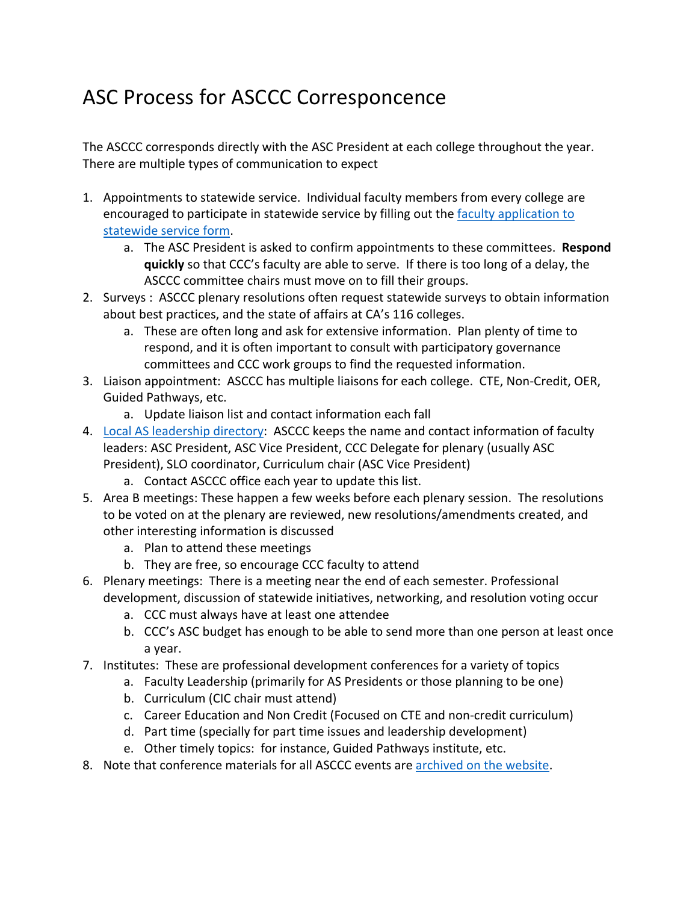## ASC Process for ASCCC Corresponcence

The ASCCC corresponds directly with the ASC President at each college throughout the year. There are multiple types of communication to expect

- 1. Appointments to statewide service. Individual faculty members from every college are encouraged to participate in statewide service by filling out the faculty application to statewide service form.
	- a. The ASC President is asked to confirm appointments to these committees. **Respond quickly** so that CCC's faculty are able to serve. If there is too long of a delay, the ASCCC committee chairs must move on to fill their groups.
- 2. Surveys : ASCCC plenary resolutions often request statewide surveys to obtain information about best practices, and the state of affairs at CA's 116 colleges.
	- a. These are often long and ask for extensive information. Plan plenty of time to respond, and it is often important to consult with participatory governance committees and CCC work groups to find the requested information.
- 3. Liaison appointment: ASCCC has multiple liaisons for each college. CTE, Non-Credit, OER, Guided Pathways, etc.
	- a. Update liaison list and contact information each fall
- 4. Local AS leadership directory: ASCCC keeps the name and contact information of faculty leaders: ASC President, ASC Vice President, CCC Delegate for plenary (usually ASC President), SLO coordinator, Curriculum chair (ASC Vice President)
	- a. Contact ASCCC office each year to update this list.
- 5. Area B meetings: These happen a few weeks before each plenary session. The resolutions to be voted on at the plenary are reviewed, new resolutions/amendments created, and other interesting information is discussed
	- a. Plan to attend these meetings
	- b. They are free, so encourage CCC faculty to attend
- 6. Plenary meetings: There is a meeting near the end of each semester. Professional development, discussion of statewide initiatives, networking, and resolution voting occur
	- a. CCC must always have at least one attendee
	- b. CCC's ASC budget has enough to be able to send more than one person at least once a year.
- 7. Institutes: These are professional development conferences for a variety of topics
	- a. Faculty Leadership (primarily for AS Presidents or those planning to be one)
	- b. Curriculum (CIC chair must attend)
	- c. Career Education and Non Credit (Focused on CTE and non-credit curriculum)
	- d. Part time (specially for part time issues and leadership development)
	- e. Other timely topics: for instance, Guided Pathways institute, etc.
- 8. Note that conference materials for all ASCCC events are archived on the website.